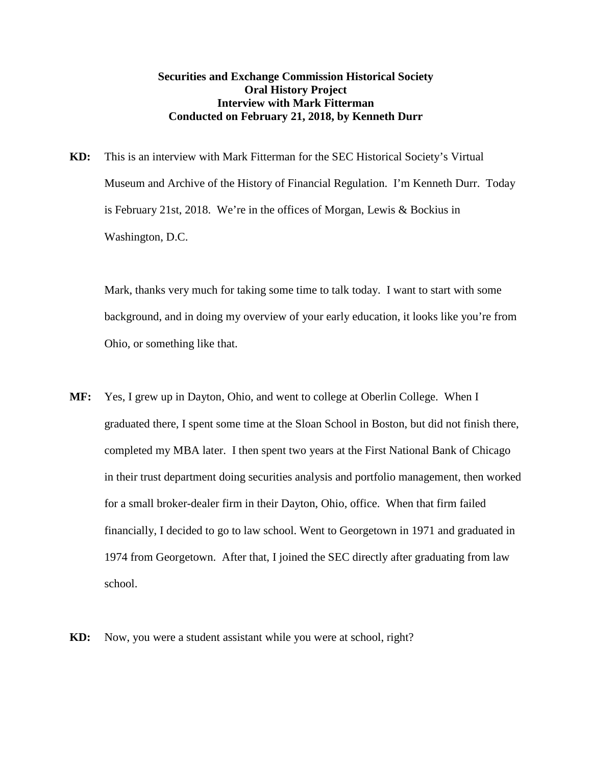## **Securities and Exchange Commission Historical Society Oral History Project Interview with Mark Fitterman Conducted on February 21, 2018, by Kenneth Durr**

**KD:** This is an interview with Mark Fitterman for the SEC Historical Society's Virtual Museum and Archive of the History of Financial Regulation. I'm Kenneth Durr. Today is February 21st, 2018. We're in the offices of Morgan, Lewis & Bockius in Washington, D.C.

Mark, thanks very much for taking some time to talk today. I want to start with some background, and in doing my overview of your early education, it looks like you're from Ohio, or something like that.

- **MF:** Yes, I grew up in Dayton, Ohio, and went to college at Oberlin College. When I graduated there, I spent some time at the Sloan School in Boston, but did not finish there, completed my MBA later. I then spent two years at the First National Bank of Chicago in their trust department doing securities analysis and portfolio management, then worked for a small broker-dealer firm in their Dayton, Ohio, office. When that firm failed financially, I decided to go to law school. Went to Georgetown in 1971 and graduated in 1974 from Georgetown. After that, I joined the SEC directly after graduating from law school.
- **KD:** Now, you were a student assistant while you were at school, right?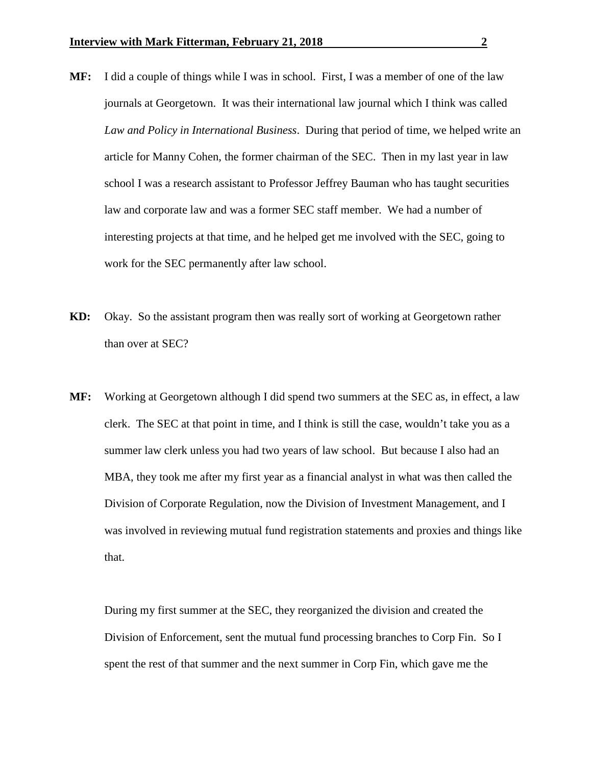- **MF:** I did a couple of things while I was in school. First, I was a member of one of the law journals at Georgetown. It was their international law journal which I think was called *Law and Policy in International Business*. During that period of time, we helped write an article for Manny Cohen, the former chairman of the SEC. Then in my last year in law school I was a research assistant to Professor Jeffrey Bauman who has taught securities law and corporate law and was a former SEC staff member. We had a number of interesting projects at that time, and he helped get me involved with the SEC, going to work for the SEC permanently after law school.
- **KD:** Okay. So the assistant program then was really sort of working at Georgetown rather than over at SEC?
- **MF:** Working at Georgetown although I did spend two summers at the SEC as, in effect, a law clerk. The SEC at that point in time, and I think is still the case, wouldn't take you as a summer law clerk unless you had two years of law school. But because I also had an MBA, they took me after my first year as a financial analyst in what was then called the Division of Corporate Regulation, now the Division of Investment Management, and I was involved in reviewing mutual fund registration statements and proxies and things like that.

During my first summer at the SEC, they reorganized the division and created the Division of Enforcement, sent the mutual fund processing branches to Corp Fin. So I spent the rest of that summer and the next summer in Corp Fin, which gave me the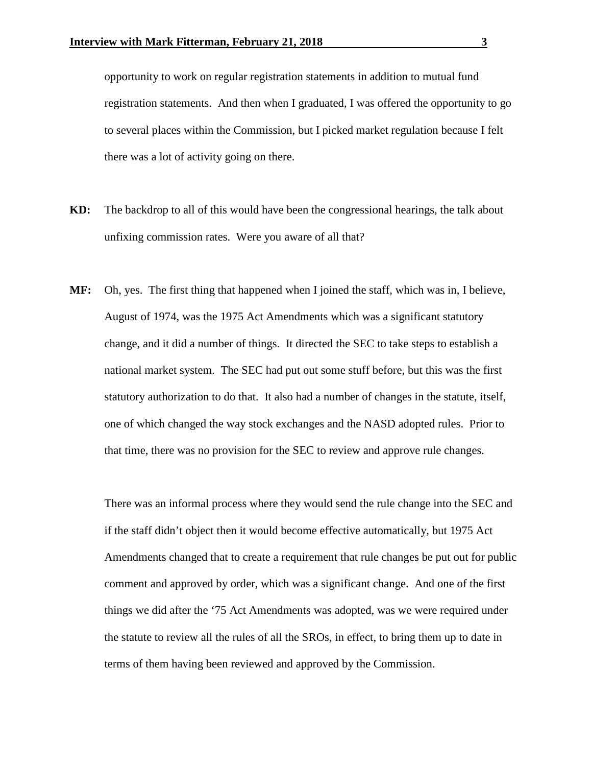opportunity to work on regular registration statements in addition to mutual fund registration statements. And then when I graduated, I was offered the opportunity to go to several places within the Commission, but I picked market regulation because I felt there was a lot of activity going on there.

- **KD:** The backdrop to all of this would have been the congressional hearings, the talk about unfixing commission rates. Were you aware of all that?
- **MF:** Oh, yes. The first thing that happened when I joined the staff, which was in, I believe, August of 1974, was the 1975 Act Amendments which was a significant statutory change, and it did a number of things. It directed the SEC to take steps to establish a national market system. The SEC had put out some stuff before, but this was the first statutory authorization to do that. It also had a number of changes in the statute, itself, one of which changed the way stock exchanges and the NASD adopted rules. Prior to that time, there was no provision for the SEC to review and approve rule changes.

There was an informal process where they would send the rule change into the SEC and if the staff didn't object then it would become effective automatically, but 1975 Act Amendments changed that to create a requirement that rule changes be put out for public comment and approved by order, which was a significant change. And one of the first things we did after the '75 Act Amendments was adopted, was we were required under the statute to review all the rules of all the SROs, in effect, to bring them up to date in terms of them having been reviewed and approved by the Commission.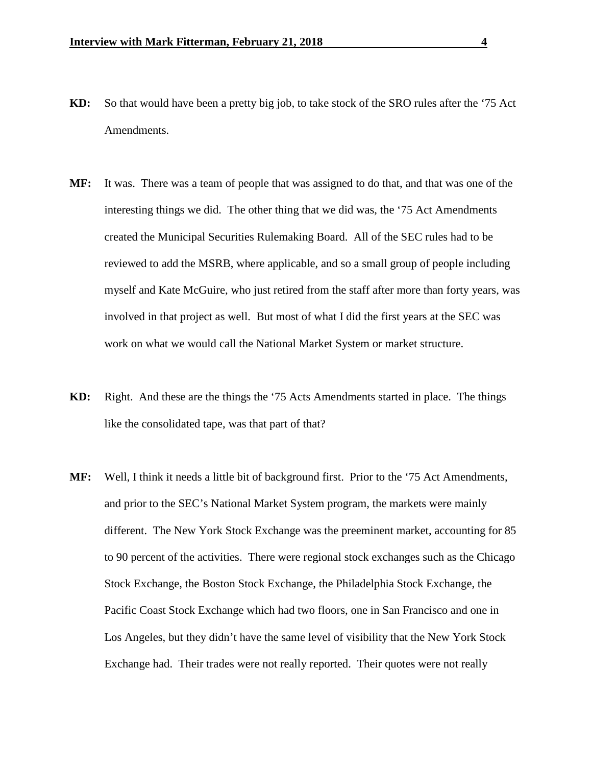- **KD:** So that would have been a pretty big job, to take stock of the SRO rules after the '75 Act Amendments.
- **MF:** It was. There was a team of people that was assigned to do that, and that was one of the interesting things we did. The other thing that we did was, the '75 Act Amendments created the Municipal Securities Rulemaking Board. All of the SEC rules had to be reviewed to add the MSRB, where applicable, and so a small group of people including myself and Kate McGuire, who just retired from the staff after more than forty years, was involved in that project as well. But most of what I did the first years at the SEC was work on what we would call the National Market System or market structure.
- **KD:** Right. And these are the things the '75 Acts Amendments started in place. The things like the consolidated tape, was that part of that?
- **MF:** Well, I think it needs a little bit of background first. Prior to the '75 Act Amendments, and prior to the SEC's National Market System program, the markets were mainly different. The New York Stock Exchange was the preeminent market, accounting for 85 to 90 percent of the activities. There were regional stock exchanges such as the Chicago Stock Exchange, the Boston Stock Exchange, the Philadelphia Stock Exchange, the Pacific Coast Stock Exchange which had two floors, one in San Francisco and one in Los Angeles, but they didn't have the same level of visibility that the New York Stock Exchange had. Their trades were not really reported. Their quotes were not really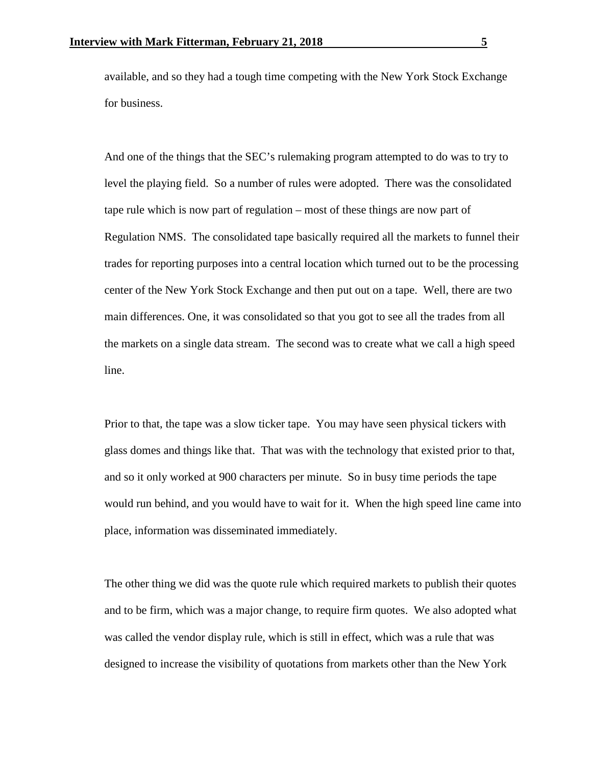available, and so they had a tough time competing with the New York Stock Exchange for business.

And one of the things that the SEC's rulemaking program attempted to do was to try to level the playing field. So a number of rules were adopted. There was the consolidated tape rule which is now part of regulation – most of these things are now part of Regulation NMS. The consolidated tape basically required all the markets to funnel their trades for reporting purposes into a central location which turned out to be the processing center of the New York Stock Exchange and then put out on a tape. Well, there are two main differences. One, it was consolidated so that you got to see all the trades from all the markets on a single data stream. The second was to create what we call a high speed line.

Prior to that, the tape was a slow ticker tape. You may have seen physical tickers with glass domes and things like that. That was with the technology that existed prior to that, and so it only worked at 900 characters per minute. So in busy time periods the tape would run behind, and you would have to wait for it. When the high speed line came into place, information was disseminated immediately.

The other thing we did was the quote rule which required markets to publish their quotes and to be firm, which was a major change, to require firm quotes. We also adopted what was called the vendor display rule, which is still in effect, which was a rule that was designed to increase the visibility of quotations from markets other than the New York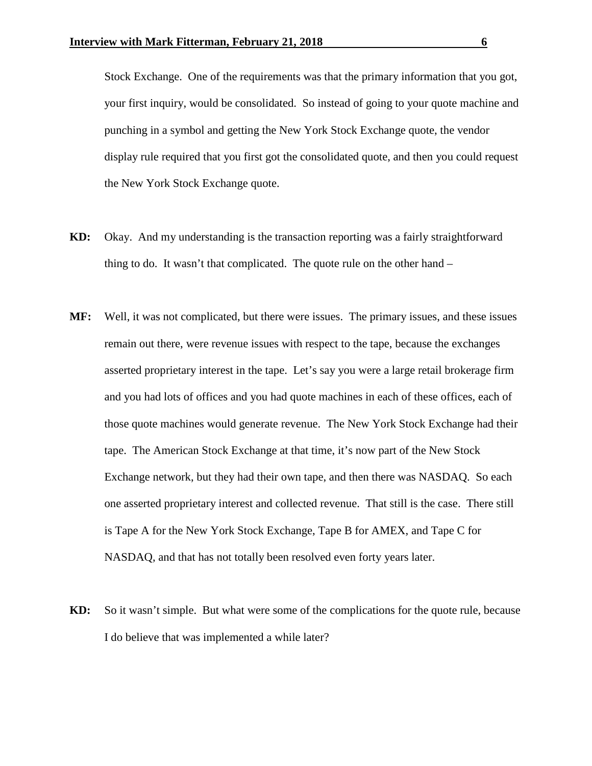Stock Exchange. One of the requirements was that the primary information that you got, your first inquiry, would be consolidated. So instead of going to your quote machine and punching in a symbol and getting the New York Stock Exchange quote, the vendor display rule required that you first got the consolidated quote, and then you could request the New York Stock Exchange quote.

- **KD:** Okay. And my understanding is the transaction reporting was a fairly straightforward thing to do. It wasn't that complicated. The quote rule on the other hand –
- **MF:** Well, it was not complicated, but there were issues. The primary issues, and these issues remain out there, were revenue issues with respect to the tape, because the exchanges asserted proprietary interest in the tape. Let's say you were a large retail brokerage firm and you had lots of offices and you had quote machines in each of these offices, each of those quote machines would generate revenue. The New York Stock Exchange had their tape. The American Stock Exchange at that time, it's now part of the New Stock Exchange network, but they had their own tape, and then there was NASDAQ. So each one asserted proprietary interest and collected revenue. That still is the case. There still is Tape A for the New York Stock Exchange, Tape B for AMEX, and Tape C for NASDAQ, and that has not totally been resolved even forty years later.
- **KD:** So it wasn't simple. But what were some of the complications for the quote rule, because I do believe that was implemented a while later?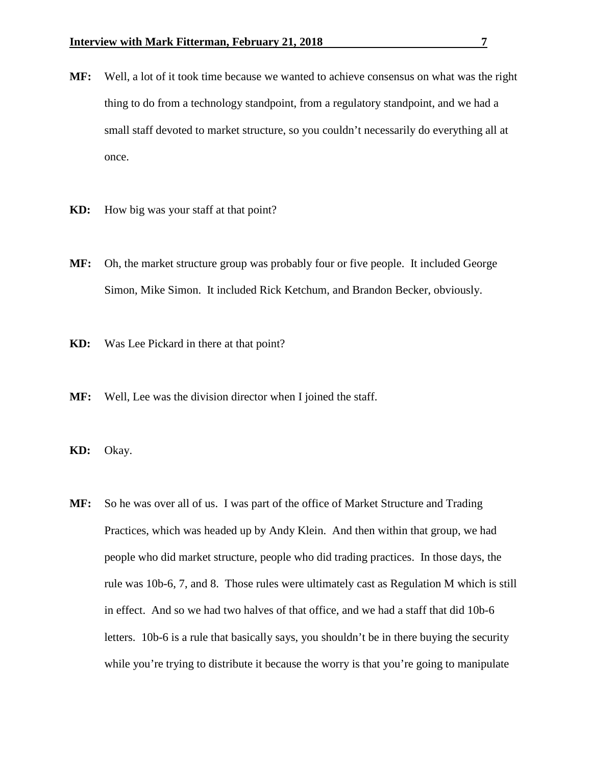- **MF:** Well, a lot of it took time because we wanted to achieve consensus on what was the right thing to do from a technology standpoint, from a regulatory standpoint, and we had a small staff devoted to market structure, so you couldn't necessarily do everything all at once.
- **KD:** How big was your staff at that point?
- **MF:** Oh, the market structure group was probably four or five people. It included George Simon, Mike Simon. It included Rick Ketchum, and Brandon Becker, obviously.
- **KD:** Was Lee Pickard in there at that point?
- **MF:** Well, Lee was the division director when I joined the staff.
- **KD:** Okay.
- **MF:** So he was over all of us. I was part of the office of Market Structure and Trading Practices, which was headed up by Andy Klein. And then within that group, we had people who did market structure, people who did trading practices. In those days, the rule was 10b-6, 7, and 8. Those rules were ultimately cast as Regulation M which is still in effect. And so we had two halves of that office, and we had a staff that did 10b-6 letters. 10b-6 is a rule that basically says, you shouldn't be in there buying the security while you're trying to distribute it because the worry is that you're going to manipulate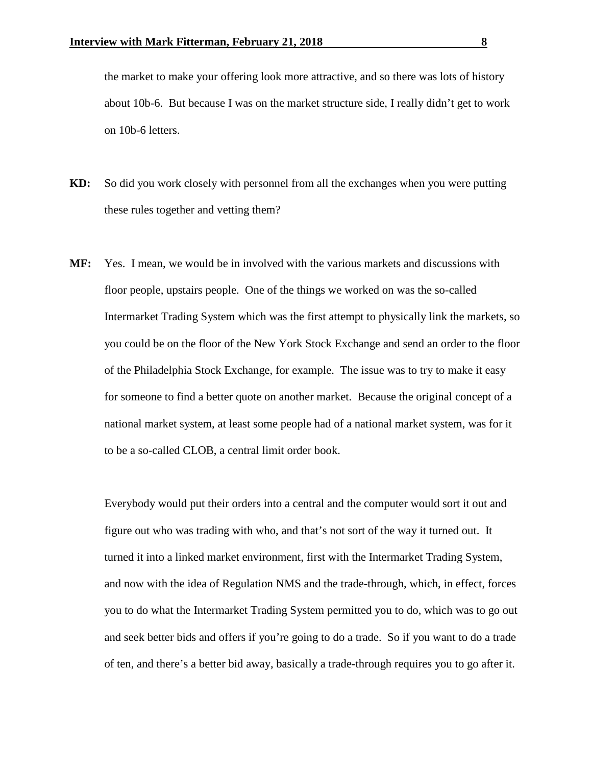the market to make your offering look more attractive, and so there was lots of history about 10b-6. But because I was on the market structure side, I really didn't get to work on 10b-6 letters.

- **KD:** So did you work closely with personnel from all the exchanges when you were putting these rules together and vetting them?
- **MF:** Yes. I mean, we would be in involved with the various markets and discussions with floor people, upstairs people. One of the things we worked on was the so-called Intermarket Trading System which was the first attempt to physically link the markets, so you could be on the floor of the New York Stock Exchange and send an order to the floor of the Philadelphia Stock Exchange, for example. The issue was to try to make it easy for someone to find a better quote on another market. Because the original concept of a national market system, at least some people had of a national market system, was for it to be a so-called CLOB, a central limit order book.

Everybody would put their orders into a central and the computer would sort it out and figure out who was trading with who, and that's not sort of the way it turned out. It turned it into a linked market environment, first with the Intermarket Trading System, and now with the idea of Regulation NMS and the trade-through, which, in effect, forces you to do what the Intermarket Trading System permitted you to do, which was to go out and seek better bids and offers if you're going to do a trade. So if you want to do a trade of ten, and there's a better bid away, basically a trade-through requires you to go after it.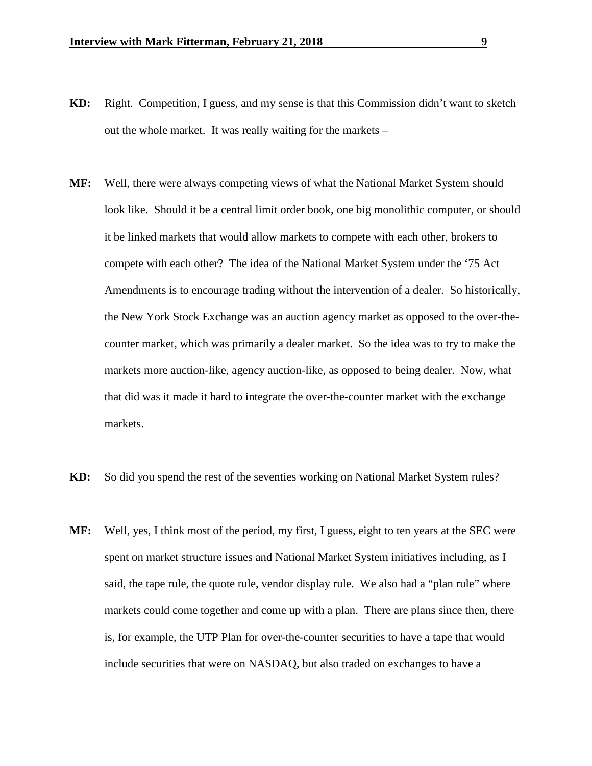- **KD:** Right. Competition, I guess, and my sense is that this Commission didn't want to sketch out the whole market. It was really waiting for the markets –
- **MF:** Well, there were always competing views of what the National Market System should look like. Should it be a central limit order book, one big monolithic computer, or should it be linked markets that would allow markets to compete with each other, brokers to compete with each other? The idea of the National Market System under the '75 Act Amendments is to encourage trading without the intervention of a dealer. So historically, the New York Stock Exchange was an auction agency market as opposed to the over-thecounter market, which was primarily a dealer market. So the idea was to try to make the markets more auction-like, agency auction-like, as opposed to being dealer. Now, what that did was it made it hard to integrate the over-the-counter market with the exchange markets.
- **KD:** So did you spend the rest of the seventies working on National Market System rules?
- **MF:** Well, yes, I think most of the period, my first, I guess, eight to ten years at the SEC were spent on market structure issues and National Market System initiatives including, as I said, the tape rule, the quote rule, vendor display rule. We also had a "plan rule" where markets could come together and come up with a plan. There are plans since then, there is, for example, the UTP Plan for over-the-counter securities to have a tape that would include securities that were on NASDAQ, but also traded on exchanges to have a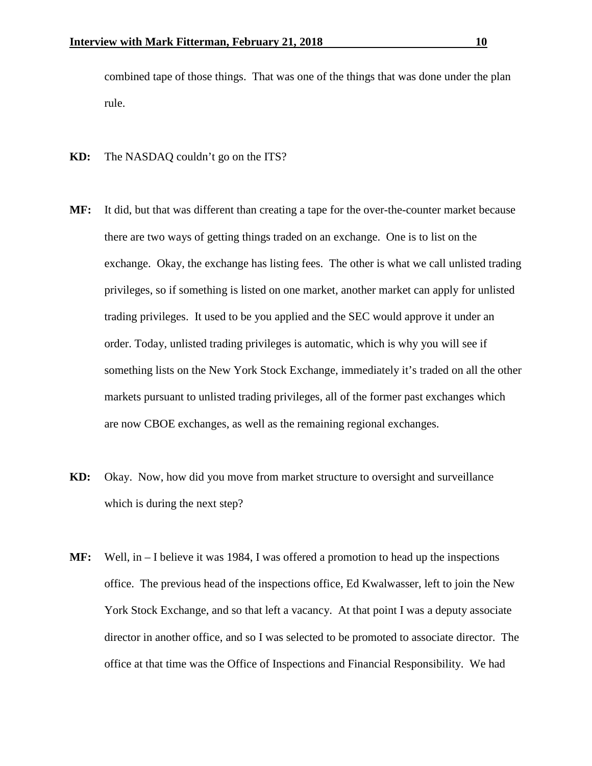combined tape of those things. That was one of the things that was done under the plan rule.

- **KD:** The NASDAQ couldn't go on the ITS?
- **MF:** It did, but that was different than creating a tape for the over-the-counter market because there are two ways of getting things traded on an exchange. One is to list on the exchange. Okay, the exchange has listing fees. The other is what we call unlisted trading privileges, so if something is listed on one market, another market can apply for unlisted trading privileges. It used to be you applied and the SEC would approve it under an order. Today, unlisted trading privileges is automatic, which is why you will see if something lists on the New York Stock Exchange, immediately it's traded on all the other markets pursuant to unlisted trading privileges, all of the former past exchanges which are now CBOE exchanges, as well as the remaining regional exchanges.
- **KD:** Okay. Now, how did you move from market structure to oversight and surveillance which is during the next step?
- **MF:** Well, in I believe it was 1984, I was offered a promotion to head up the inspections office. The previous head of the inspections office, Ed Kwalwasser, left to join the New York Stock Exchange, and so that left a vacancy. At that point I was a deputy associate director in another office, and so I was selected to be promoted to associate director. The office at that time was the Office of Inspections and Financial Responsibility. We had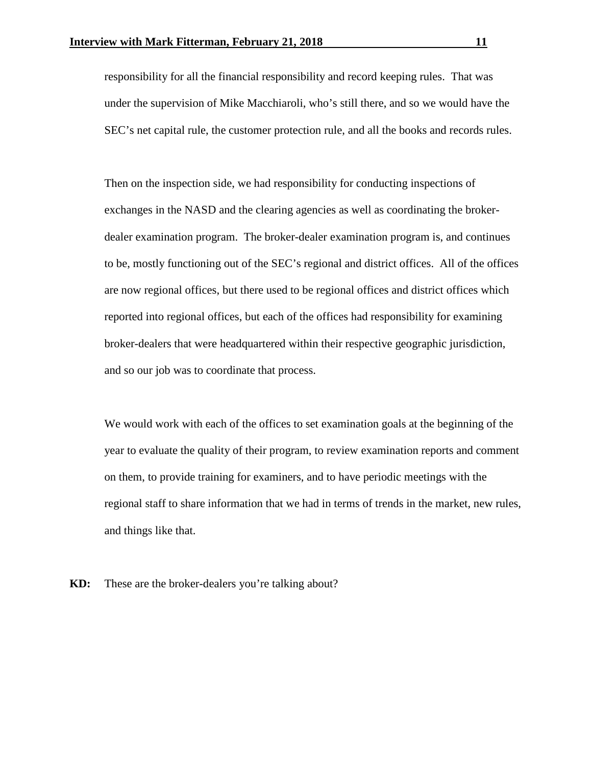responsibility for all the financial responsibility and record keeping rules. That was under the supervision of Mike Macchiaroli, who's still there, and so we would have the SEC's net capital rule, the customer protection rule, and all the books and records rules.

Then on the inspection side, we had responsibility for conducting inspections of exchanges in the NASD and the clearing agencies as well as coordinating the brokerdealer examination program. The broker-dealer examination program is, and continues to be, mostly functioning out of the SEC's regional and district offices. All of the offices are now regional offices, but there used to be regional offices and district offices which reported into regional offices, but each of the offices had responsibility for examining broker-dealers that were headquartered within their respective geographic jurisdiction, and so our job was to coordinate that process.

We would work with each of the offices to set examination goals at the beginning of the year to evaluate the quality of their program, to review examination reports and comment on them, to provide training for examiners, and to have periodic meetings with the regional staff to share information that we had in terms of trends in the market, new rules, and things like that.

**KD:** These are the broker-dealers you're talking about?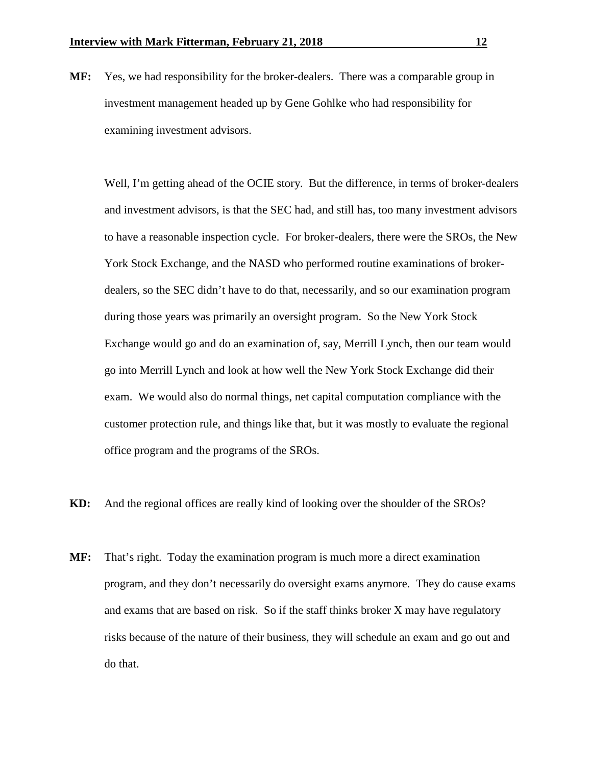**MF:** Yes, we had responsibility for the broker-dealers. There was a comparable group in investment management headed up by Gene Gohlke who had responsibility for examining investment advisors.

Well, I'm getting ahead of the OCIE story. But the difference, in terms of broker-dealers and investment advisors, is that the SEC had, and still has, too many investment advisors to have a reasonable inspection cycle. For broker-dealers, there were the SROs, the New York Stock Exchange, and the NASD who performed routine examinations of brokerdealers, so the SEC didn't have to do that, necessarily, and so our examination program during those years was primarily an oversight program. So the New York Stock Exchange would go and do an examination of, say, Merrill Lynch, then our team would go into Merrill Lynch and look at how well the New York Stock Exchange did their exam. We would also do normal things, net capital computation compliance with the customer protection rule, and things like that, but it was mostly to evaluate the regional office program and the programs of the SROs.

- **KD:** And the regional offices are really kind of looking over the shoulder of the SROs?
- **MF:** That's right. Today the examination program is much more a direct examination program, and they don't necessarily do oversight exams anymore. They do cause exams and exams that are based on risk. So if the staff thinks broker X may have regulatory risks because of the nature of their business, they will schedule an exam and go out and do that.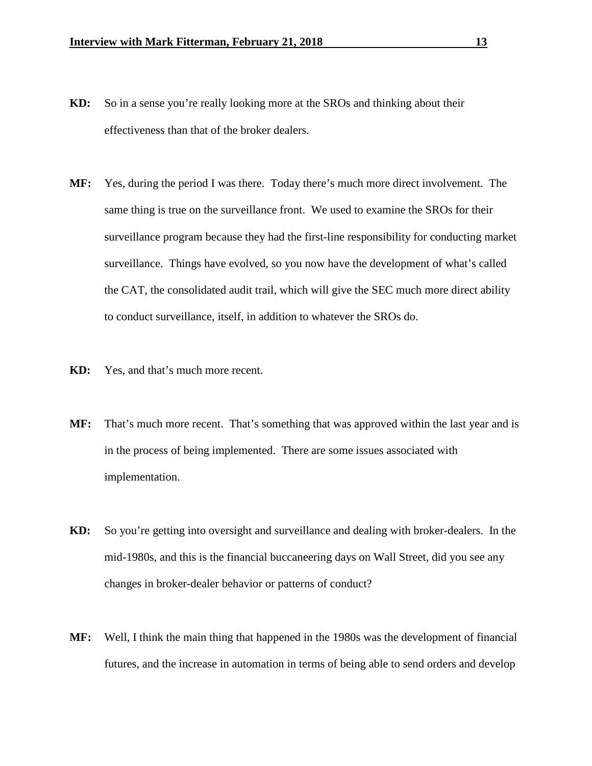- **KD:** So in a sense you're really looking more at the SROs and thinking about their effectiveness than that of the broker dealers.
- **MF:** Yes, during the period I was there. Today there's much more direct involvement. The same thing is true on the surveillance front. We used to examine the SROs for their surveillance program because they had the first-line responsibility for conducting market surveillance. Things have evolved, so you now have the development of what's called the CAT, the consolidated audit trail, which will give the SEC much more direct ability to conduct surveillance, itself, in addition to whatever the SROs do.
- **KD:** Yes, and that's much more recent.
- **MF:** That's much more recent. That's something that was approved within the last year and is in the process of being implemented. There are some issues associated with implementation.
- **KD:** So you're getting into oversight and surveillance and dealing with broker-dealers. In the mid-1980s, and this is the financial buccaneering days on Wall Street, did you see any changes in broker-dealer behavior or patterns of conduct?
- **MF:** Well, I think the main thing that happened in the 1980s was the development of financial futures, and the increase in automation in terms of being able to send orders and develop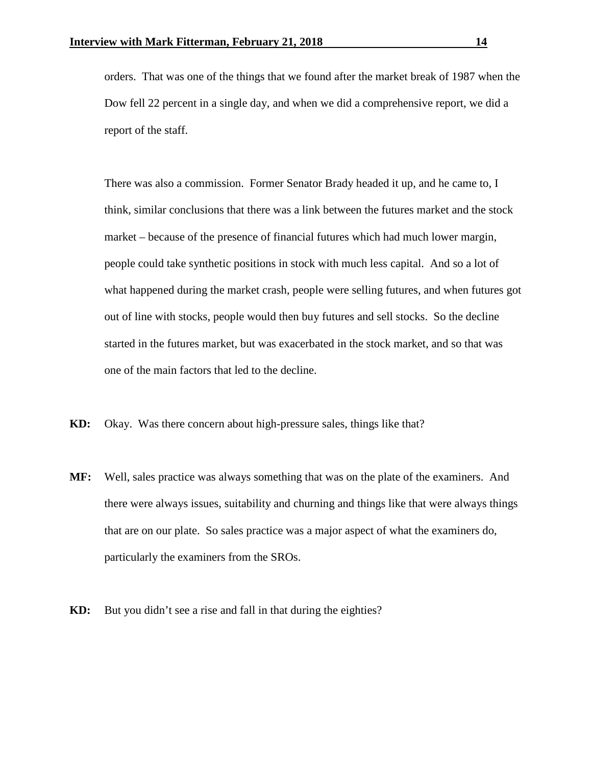orders. That was one of the things that we found after the market break of 1987 when the Dow fell 22 percent in a single day, and when we did a comprehensive report, we did a report of the staff.

There was also a commission. Former Senator Brady headed it up, and he came to, I think, similar conclusions that there was a link between the futures market and the stock market – because of the presence of financial futures which had much lower margin, people could take synthetic positions in stock with much less capital. And so a lot of what happened during the market crash, people were selling futures, and when futures got out of line with stocks, people would then buy futures and sell stocks. So the decline started in the futures market, but was exacerbated in the stock market, and so that was one of the main factors that led to the decline.

- **KD:** Okay. Was there concern about high-pressure sales, things like that?
- **MF:** Well, sales practice was always something that was on the plate of the examiners. And there were always issues, suitability and churning and things like that were always things that are on our plate. So sales practice was a major aspect of what the examiners do, particularly the examiners from the SROs.
- **KD:** But you didn't see a rise and fall in that during the eighties?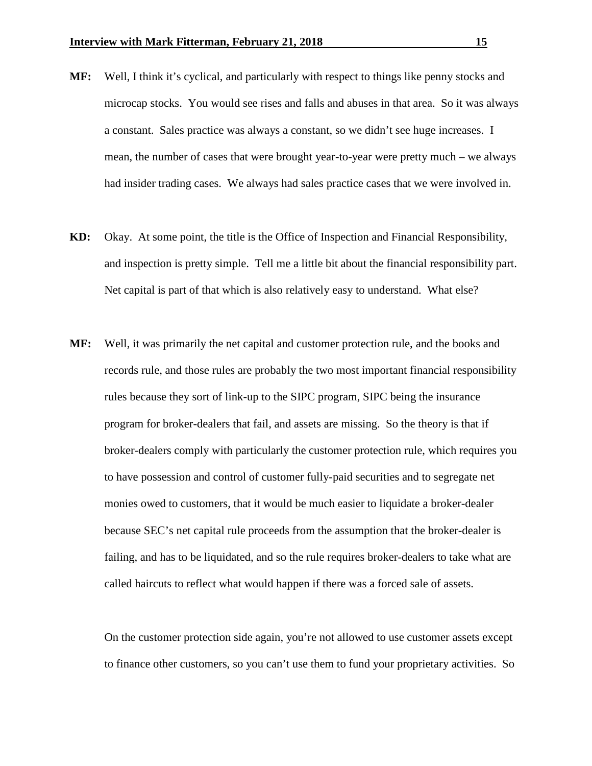- **MF:** Well, I think it's cyclical, and particularly with respect to things like penny stocks and microcap stocks. You would see rises and falls and abuses in that area. So it was always a constant. Sales practice was always a constant, so we didn't see huge increases. I mean, the number of cases that were brought year-to-year were pretty much – we always had insider trading cases. We always had sales practice cases that we were involved in.
- **KD:** Okay. At some point, the title is the Office of Inspection and Financial Responsibility, and inspection is pretty simple. Tell me a little bit about the financial responsibility part. Net capital is part of that which is also relatively easy to understand. What else?
- **MF:** Well, it was primarily the net capital and customer protection rule, and the books and records rule, and those rules are probably the two most important financial responsibility rules because they sort of link-up to the SIPC program, SIPC being the insurance program for broker-dealers that fail, and assets are missing. So the theory is that if broker-dealers comply with particularly the customer protection rule, which requires you to have possession and control of customer fully-paid securities and to segregate net monies owed to customers, that it would be much easier to liquidate a broker-dealer because SEC's net capital rule proceeds from the assumption that the broker-dealer is failing, and has to be liquidated, and so the rule requires broker-dealers to take what are called haircuts to reflect what would happen if there was a forced sale of assets.

On the customer protection side again, you're not allowed to use customer assets except to finance other customers, so you can't use them to fund your proprietary activities. So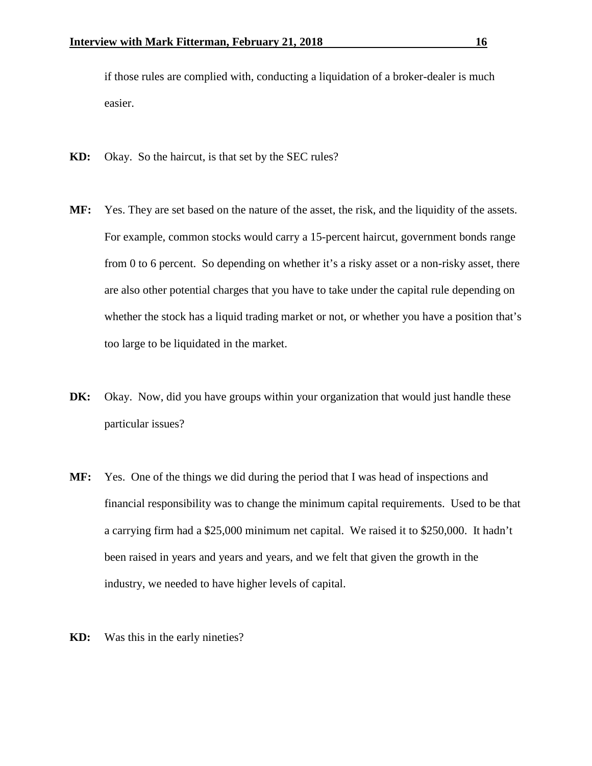if those rules are complied with, conducting a liquidation of a broker-dealer is much easier.

- **KD:** Okay. So the haircut, is that set by the SEC rules?
- **MF:** Yes. They are set based on the nature of the asset, the risk, and the liquidity of the assets. For example, common stocks would carry a 15-percent haircut, government bonds range from 0 to 6 percent. So depending on whether it's a risky asset or a non-risky asset, there are also other potential charges that you have to take under the capital rule depending on whether the stock has a liquid trading market or not, or whether you have a position that's too large to be liquidated in the market.
- **DK:** Okay. Now, did you have groups within your organization that would just handle these particular issues?
- **MF:** Yes. One of the things we did during the period that I was head of inspections and financial responsibility was to change the minimum capital requirements. Used to be that a carrying firm had a \$25,000 minimum net capital. We raised it to \$250,000. It hadn't been raised in years and years and years, and we felt that given the growth in the industry, we needed to have higher levels of capital.
- **KD:** Was this in the early nineties?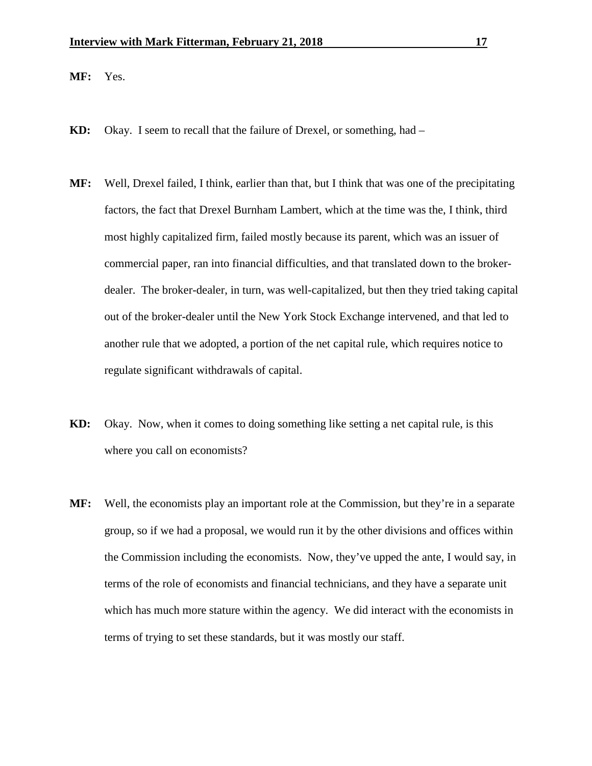**MF:** Yes.

- **KD:** Okay. I seem to recall that the failure of Drexel, or something, had –
- **MF:** Well, Drexel failed, I think, earlier than that, but I think that was one of the precipitating factors, the fact that Drexel Burnham Lambert, which at the time was the, I think, third most highly capitalized firm, failed mostly because its parent, which was an issuer of commercial paper, ran into financial difficulties, and that translated down to the brokerdealer. The broker-dealer, in turn, was well-capitalized, but then they tried taking capital out of the broker-dealer until the New York Stock Exchange intervened, and that led to another rule that we adopted, a portion of the net capital rule, which requires notice to regulate significant withdrawals of capital.
- **KD:** Okay. Now, when it comes to doing something like setting a net capital rule, is this where you call on economists?
- **MF:** Well, the economists play an important role at the Commission, but they're in a separate group, so if we had a proposal, we would run it by the other divisions and offices within the Commission including the economists. Now, they've upped the ante, I would say, in terms of the role of economists and financial technicians, and they have a separate unit which has much more stature within the agency. We did interact with the economists in terms of trying to set these standards, but it was mostly our staff.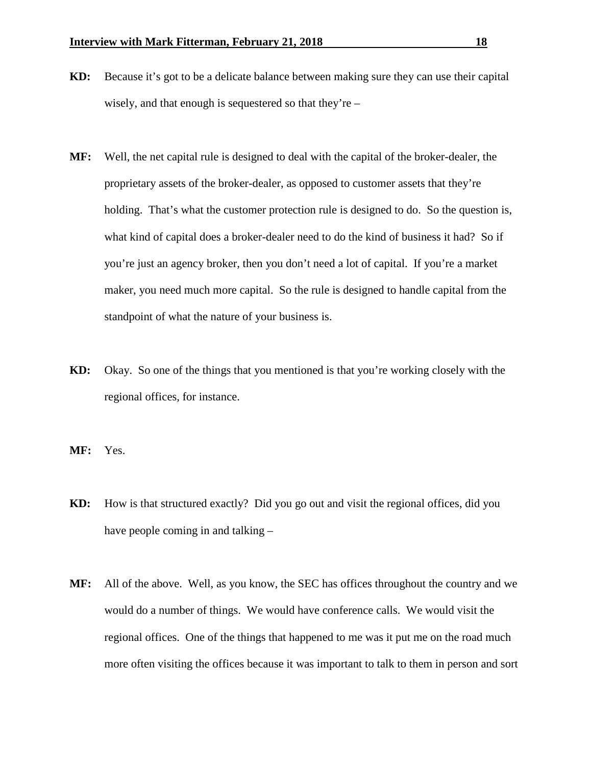- **KD:** Because it's got to be a delicate balance between making sure they can use their capital wisely, and that enough is sequestered so that they're –
- **MF:** Well, the net capital rule is designed to deal with the capital of the broker-dealer, the proprietary assets of the broker-dealer, as opposed to customer assets that they're holding. That's what the customer protection rule is designed to do. So the question is, what kind of capital does a broker-dealer need to do the kind of business it had? So if you're just an agency broker, then you don't need a lot of capital. If you're a market maker, you need much more capital. So the rule is designed to handle capital from the standpoint of what the nature of your business is.
- **KD:** Okay. So one of the things that you mentioned is that you're working closely with the regional offices, for instance.
- **MF:** Yes.
- **KD:** How is that structured exactly? Did you go out and visit the regional offices, did you have people coming in and talking –
- **MF:** All of the above. Well, as you know, the SEC has offices throughout the country and we would do a number of things. We would have conference calls. We would visit the regional offices. One of the things that happened to me was it put me on the road much more often visiting the offices because it was important to talk to them in person and sort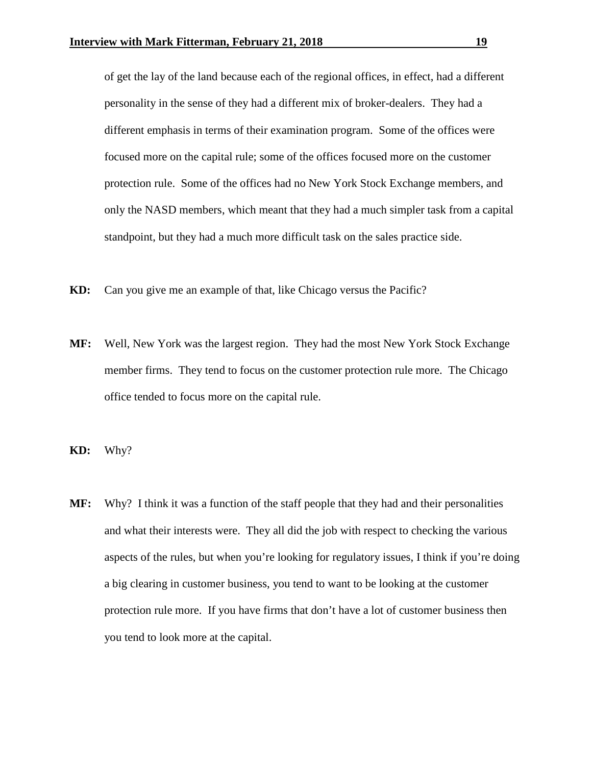of get the lay of the land because each of the regional offices, in effect, had a different personality in the sense of they had a different mix of broker-dealers. They had a different emphasis in terms of their examination program. Some of the offices were focused more on the capital rule; some of the offices focused more on the customer protection rule. Some of the offices had no New York Stock Exchange members, and only the NASD members, which meant that they had a much simpler task from a capital standpoint, but they had a much more difficult task on the sales practice side.

- **KD:** Can you give me an example of that, like Chicago versus the Pacific?
- **MF:** Well, New York was the largest region. They had the most New York Stock Exchange member firms. They tend to focus on the customer protection rule more. The Chicago office tended to focus more on the capital rule.
- **KD:** Why?
- **MF:** Why? I think it was a function of the staff people that they had and their personalities and what their interests were. They all did the job with respect to checking the various aspects of the rules, but when you're looking for regulatory issues, I think if you're doing a big clearing in customer business, you tend to want to be looking at the customer protection rule more. If you have firms that don't have a lot of customer business then you tend to look more at the capital.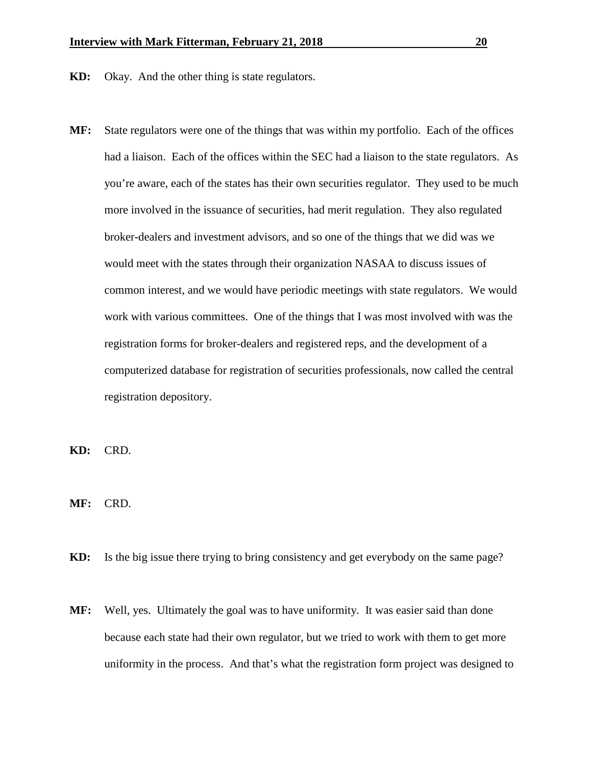- **KD:** Okay. And the other thing is state regulators.
- **MF:** State regulators were one of the things that was within my portfolio. Each of the offices had a liaison. Each of the offices within the SEC had a liaison to the state regulators. As you're aware, each of the states has their own securities regulator. They used to be much more involved in the issuance of securities, had merit regulation. They also regulated broker-dealers and investment advisors, and so one of the things that we did was we would meet with the states through their organization NASAA to discuss issues of common interest, and we would have periodic meetings with state regulators. We would work with various committees. One of the things that I was most involved with was the registration forms for broker-dealers and registered reps, and the development of a computerized database for registration of securities professionals, now called the central registration depository.

**KD:** CRD.

**MF:** CRD.

- **KD:** Is the big issue there trying to bring consistency and get everybody on the same page?
- **MF:** Well, yes. Ultimately the goal was to have uniformity. It was easier said than done because each state had their own regulator, but we tried to work with them to get more uniformity in the process. And that's what the registration form project was designed to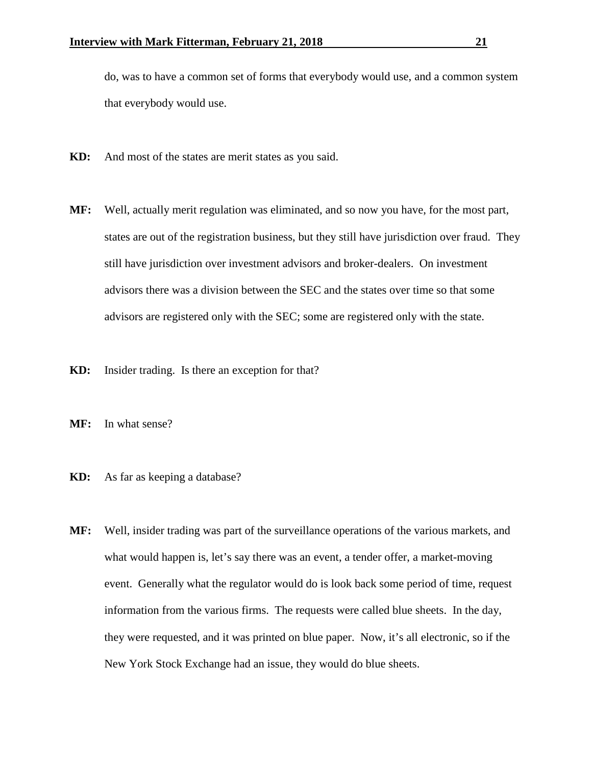do, was to have a common set of forms that everybody would use, and a common system that everybody would use.

- **KD:** And most of the states are merit states as you said.
- **MF:** Well, actually merit regulation was eliminated, and so now you have, for the most part, states are out of the registration business, but they still have jurisdiction over fraud. They still have jurisdiction over investment advisors and broker-dealers. On investment advisors there was a division between the SEC and the states over time so that some advisors are registered only with the SEC; some are registered only with the state.
- **KD:** Insider trading. Is there an exception for that?
- **MF:** In what sense?
- **KD:** As far as keeping a database?
- **MF:** Well, insider trading was part of the surveillance operations of the various markets, and what would happen is, let's say there was an event, a tender offer, a market-moving event. Generally what the regulator would do is look back some period of time, request information from the various firms. The requests were called blue sheets. In the day, they were requested, and it was printed on blue paper. Now, it's all electronic, so if the New York Stock Exchange had an issue, they would do blue sheets.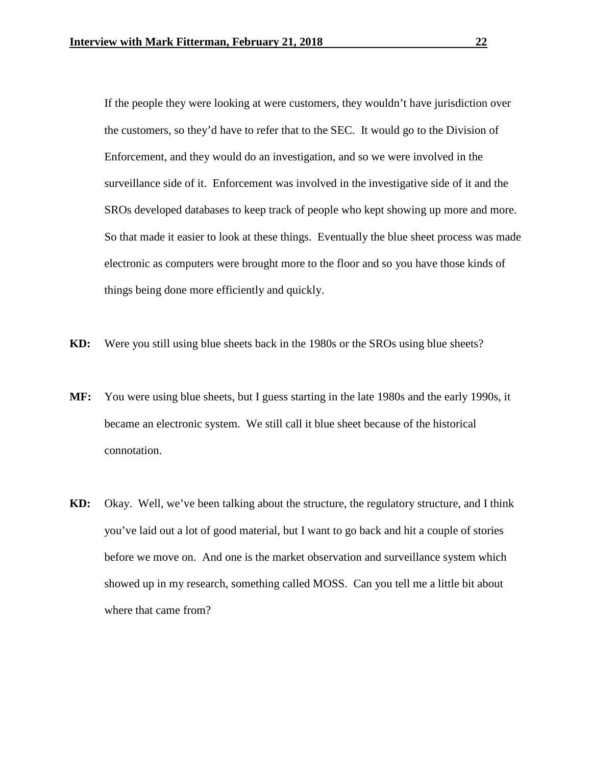If the people they were looking at were customers, they wouldn't have jurisdiction over the customers, so they'd have to refer that to the SEC. It would go to the Division of Enforcement, and they would do an investigation, and so we were involved in the surveillance side of it. Enforcement was involved in the investigative side of it and the SROs developed databases to keep track of people who kept showing up more and more. So that made it easier to look at these things. Eventually the blue sheet process was made electronic as computers were brought more to the floor and so you have those kinds of things being done more efficiently and quickly.

- **KD:** Were you still using blue sheets back in the 1980s or the SROs using blue sheets?
- **MF:** You were using blue sheets, but I guess starting in the late 1980s and the early 1990s, it became an electronic system. We still call it blue sheet because of the historical connotation.
- **KD:** Okay. Well, we've been talking about the structure, the regulatory structure, and I think you've laid out a lot of good material, but I want to go back and hit a couple of stories before we move on. And one is the market observation and surveillance system which showed up in my research, something called MOSS. Can you tell me a little bit about where that came from?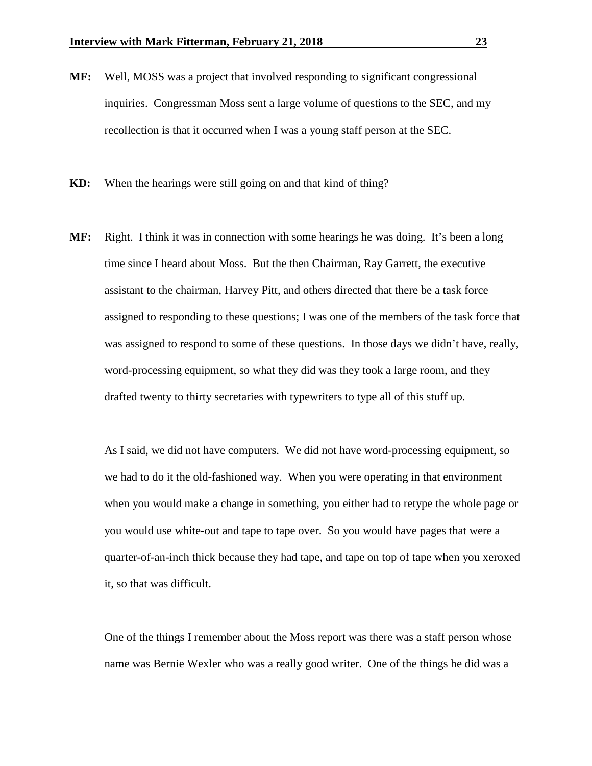- **MF:** Well, MOSS was a project that involved responding to significant congressional inquiries. Congressman Moss sent a large volume of questions to the SEC, and my recollection is that it occurred when I was a young staff person at the SEC.
- **KD:** When the hearings were still going on and that kind of thing?
- **MF:** Right. I think it was in connection with some hearings he was doing. It's been a long time since I heard about Moss. But the then Chairman, Ray Garrett, the executive assistant to the chairman, Harvey Pitt, and others directed that there be a task force assigned to responding to these questions; I was one of the members of the task force that was assigned to respond to some of these questions. In those days we didn't have, really, word-processing equipment, so what they did was they took a large room, and they drafted twenty to thirty secretaries with typewriters to type all of this stuff up.

As I said, we did not have computers. We did not have word-processing equipment, so we had to do it the old-fashioned way. When you were operating in that environment when you would make a change in something, you either had to retype the whole page or you would use white-out and tape to tape over. So you would have pages that were a quarter-of-an-inch thick because they had tape, and tape on top of tape when you xeroxed it, so that was difficult.

One of the things I remember about the Moss report was there was a staff person whose name was Bernie Wexler who was a really good writer. One of the things he did was a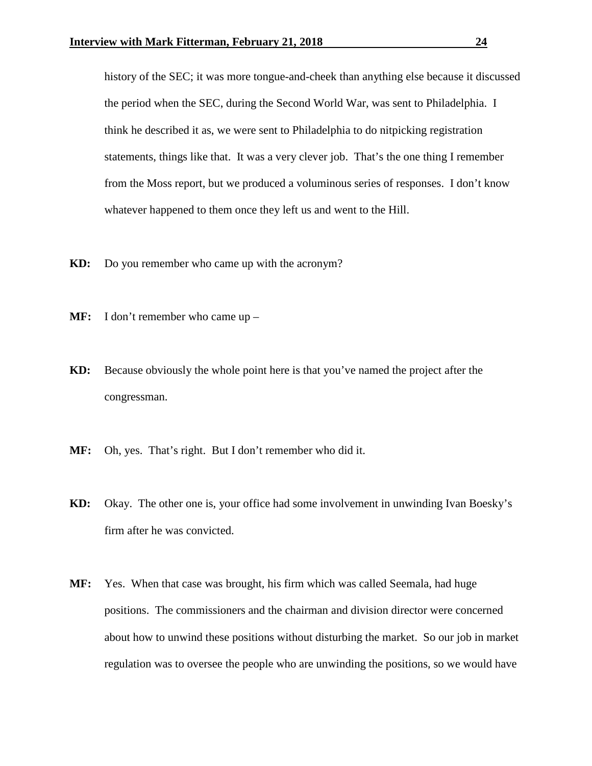history of the SEC; it was more tongue-and-cheek than anything else because it discussed the period when the SEC, during the Second World War, was sent to Philadelphia. I think he described it as, we were sent to Philadelphia to do nitpicking registration statements, things like that. It was a very clever job. That's the one thing I remember from the Moss report, but we produced a voluminous series of responses. I don't know whatever happened to them once they left us and went to the Hill.

- **KD:** Do you remember who came up with the acronym?
- **MF:** I don't remember who came up –
- **KD:** Because obviously the whole point here is that you've named the project after the congressman.
- **MF:** Oh, yes. That's right. But I don't remember who did it.
- **KD:** Okay. The other one is, your office had some involvement in unwinding Ivan Boesky's firm after he was convicted.
- **MF:** Yes. When that case was brought, his firm which was called Seemala, had huge positions. The commissioners and the chairman and division director were concerned about how to unwind these positions without disturbing the market. So our job in market regulation was to oversee the people who are unwinding the positions, so we would have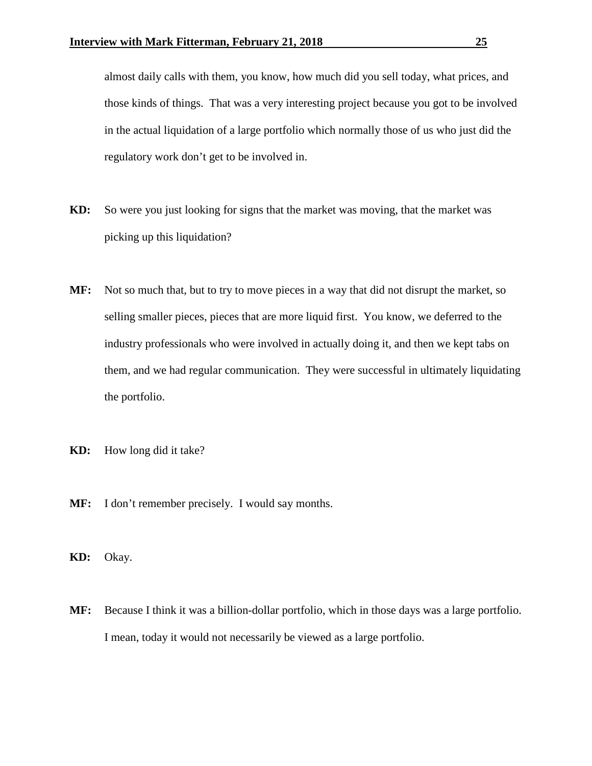almost daily calls with them, you know, how much did you sell today, what prices, and those kinds of things. That was a very interesting project because you got to be involved in the actual liquidation of a large portfolio which normally those of us who just did the regulatory work don't get to be involved in.

- **KD:** So were you just looking for signs that the market was moving, that the market was picking up this liquidation?
- **MF:** Not so much that, but to try to move pieces in a way that did not disrupt the market, so selling smaller pieces, pieces that are more liquid first. You know, we deferred to the industry professionals who were involved in actually doing it, and then we kept tabs on them, and we had regular communication. They were successful in ultimately liquidating the portfolio.
- **KD:** How long did it take?
- **MF:** I don't remember precisely. I would say months.
- **KD:** Okay.
- **MF:** Because I think it was a billion-dollar portfolio, which in those days was a large portfolio. I mean, today it would not necessarily be viewed as a large portfolio.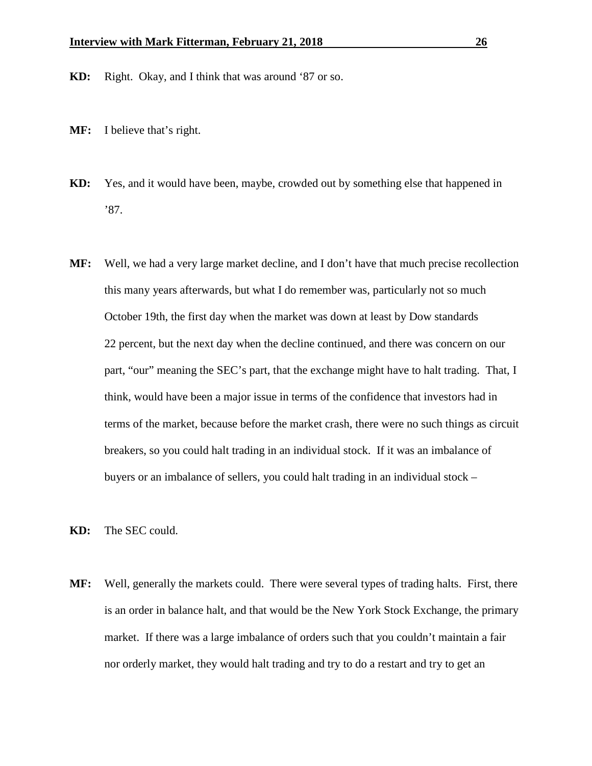- **KD:** Right. Okay, and I think that was around '87 or so.
- **MF:** I believe that's right.
- **KD:** Yes, and it would have been, maybe, crowded out by something else that happened in '87.
- **MF:** Well, we had a very large market decline, and I don't have that much precise recollection this many years afterwards, but what I do remember was, particularly not so much October 19th, the first day when the market was down at least by Dow standards 22 percent, but the next day when the decline continued, and there was concern on our part, "our" meaning the SEC's part, that the exchange might have to halt trading. That, I think, would have been a major issue in terms of the confidence that investors had in terms of the market, because before the market crash, there were no such things as circuit breakers, so you could halt trading in an individual stock. If it was an imbalance of buyers or an imbalance of sellers, you could halt trading in an individual stock –
- **KD:** The SEC could.
- **MF:** Well, generally the markets could. There were several types of trading halts. First, there is an order in balance halt, and that would be the New York Stock Exchange, the primary market. If there was a large imbalance of orders such that you couldn't maintain a fair nor orderly market, they would halt trading and try to do a restart and try to get an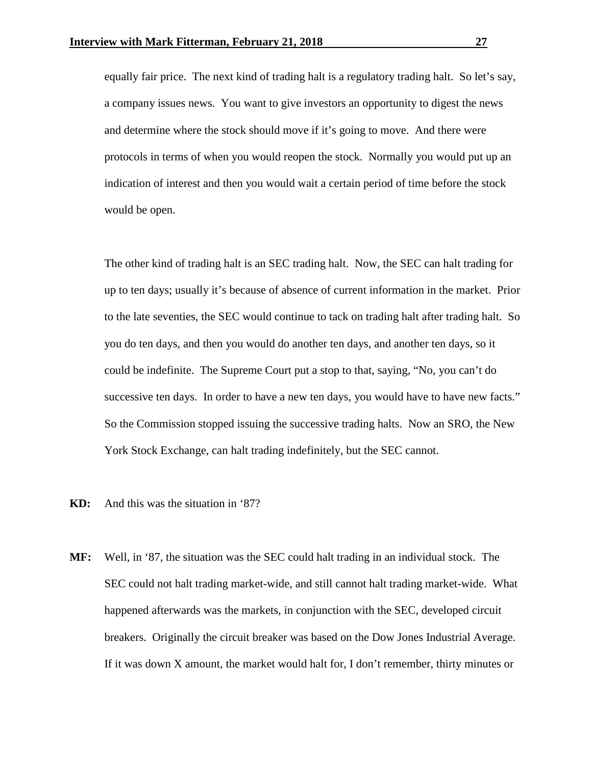equally fair price. The next kind of trading halt is a regulatory trading halt. So let's say, a company issues news. You want to give investors an opportunity to digest the news and determine where the stock should move if it's going to move. And there were protocols in terms of when you would reopen the stock. Normally you would put up an indication of interest and then you would wait a certain period of time before the stock would be open.

The other kind of trading halt is an SEC trading halt. Now, the SEC can halt trading for up to ten days; usually it's because of absence of current information in the market. Prior to the late seventies, the SEC would continue to tack on trading halt after trading halt. So you do ten days, and then you would do another ten days, and another ten days, so it could be indefinite. The Supreme Court put a stop to that, saying, "No, you can't do successive ten days. In order to have a new ten days, you would have to have new facts." So the Commission stopped issuing the successive trading halts. Now an SRO, the New York Stock Exchange, can halt trading indefinitely, but the SEC cannot.

- **KD:** And this was the situation in '87?
- **MF:** Well, in '87, the situation was the SEC could halt trading in an individual stock. The SEC could not halt trading market-wide, and still cannot halt trading market-wide. What happened afterwards was the markets, in conjunction with the SEC, developed circuit breakers. Originally the circuit breaker was based on the Dow Jones Industrial Average. If it was down X amount, the market would halt for, I don't remember, thirty minutes or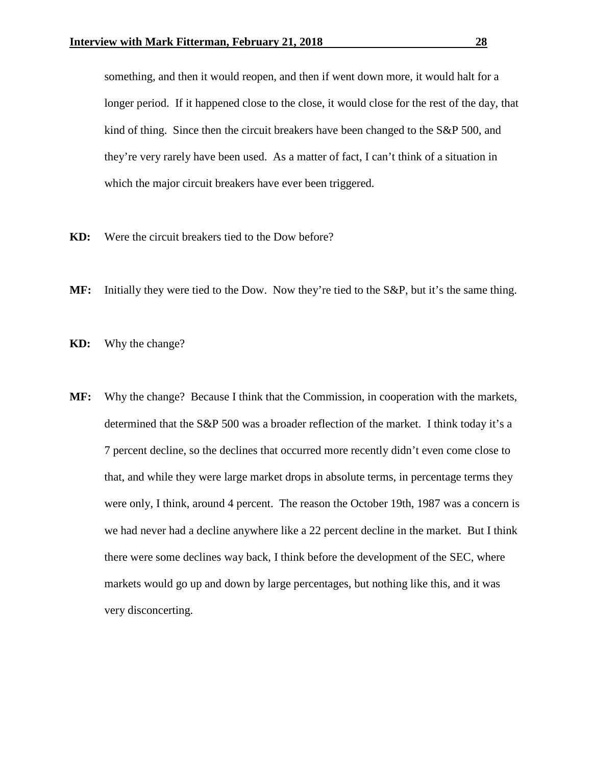something, and then it would reopen, and then if went down more, it would halt for a longer period. If it happened close to the close, it would close for the rest of the day, that kind of thing. Since then the circuit breakers have been changed to the S&P 500, and they're very rarely have been used. As a matter of fact, I can't think of a situation in which the major circuit breakers have ever been triggered.

- **KD:** Were the circuit breakers tied to the Dow before?
- **MF:** Initially they were tied to the Dow. Now they're tied to the S&P, but it's the same thing.

**KD:** Why the change?

**MF:** Why the change? Because I think that the Commission, in cooperation with the markets, determined that the S&P 500 was a broader reflection of the market. I think today it's a 7 percent decline, so the declines that occurred more recently didn't even come close to that, and while they were large market drops in absolute terms, in percentage terms they were only, I think, around 4 percent. The reason the October 19th, 1987 was a concern is we had never had a decline anywhere like a 22 percent decline in the market. But I think there were some declines way back, I think before the development of the SEC, where markets would go up and down by large percentages, but nothing like this, and it was very disconcerting.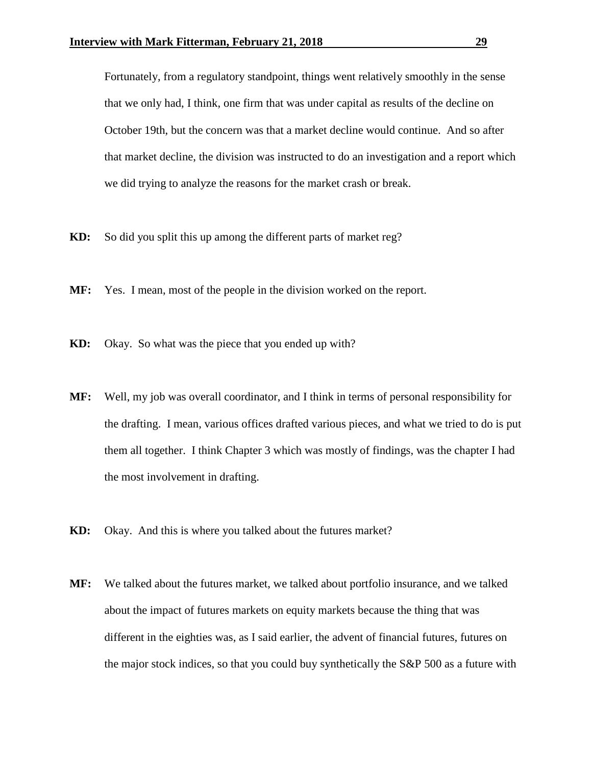Fortunately, from a regulatory standpoint, things went relatively smoothly in the sense that we only had, I think, one firm that was under capital as results of the decline on October 19th, but the concern was that a market decline would continue. And so after that market decline, the division was instructed to do an investigation and a report which we did trying to analyze the reasons for the market crash or break.

- **KD:** So did you split this up among the different parts of market reg?
- **MF:** Yes. I mean, most of the people in the division worked on the report.
- **KD:** Okay. So what was the piece that you ended up with?
- **MF:** Well, my job was overall coordinator, and I think in terms of personal responsibility for the drafting. I mean, various offices drafted various pieces, and what we tried to do is put them all together. I think Chapter 3 which was mostly of findings, was the chapter I had the most involvement in drafting.
- **KD:** Okay. And this is where you talked about the futures market?
- **MF:** We talked about the futures market, we talked about portfolio insurance, and we talked about the impact of futures markets on equity markets because the thing that was different in the eighties was, as I said earlier, the advent of financial futures, futures on the major stock indices, so that you could buy synthetically the S&P 500 as a future with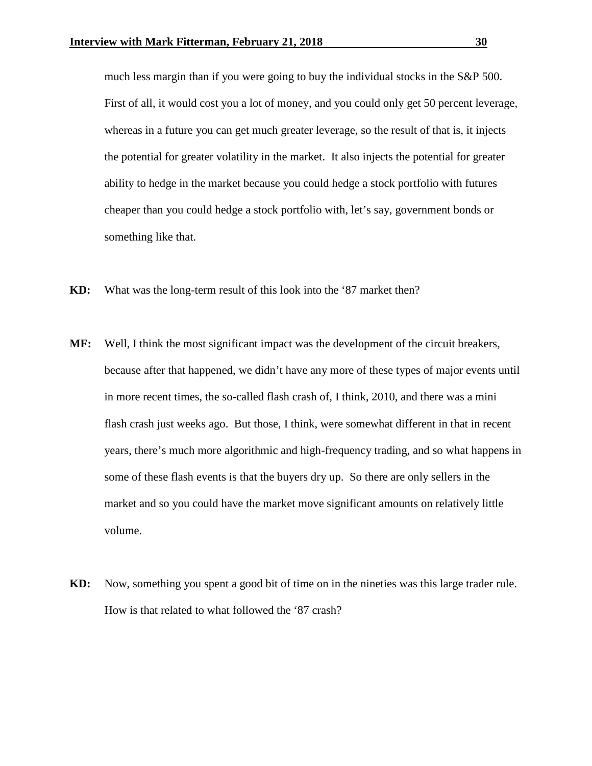much less margin than if you were going to buy the individual stocks in the S&P 500. First of all, it would cost you a lot of money, and you could only get 50 percent leverage, whereas in a future you can get much greater leverage, so the result of that is, it injects the potential for greater volatility in the market. It also injects the potential for greater ability to hedge in the market because you could hedge a stock portfolio with futures cheaper than you could hedge a stock portfolio with, let's say, government bonds or something like that.

- **KD:** What was the long-term result of this look into the '87 market then?
- **MF:** Well, I think the most significant impact was the development of the circuit breakers, because after that happened, we didn't have any more of these types of major events until in more recent times, the so-called flash crash of, I think, 2010, and there was a mini flash crash just weeks ago. But those, I think, were somewhat different in that in recent years, there's much more algorithmic and high-frequency trading, and so what happens in some of these flash events is that the buyers dry up. So there are only sellers in the market and so you could have the market move significant amounts on relatively little volume.
- **KD:** Now, something you spent a good bit of time on in the nineties was this large trader rule. How is that related to what followed the '87 crash?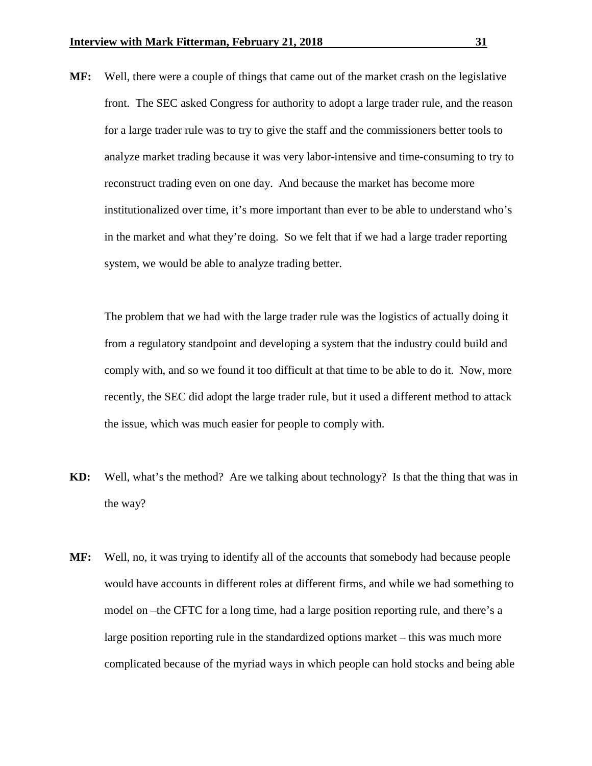**MF:** Well, there were a couple of things that came out of the market crash on the legislative front. The SEC asked Congress for authority to adopt a large trader rule, and the reason for a large trader rule was to try to give the staff and the commissioners better tools to analyze market trading because it was very labor-intensive and time-consuming to try to reconstruct trading even on one day. And because the market has become more institutionalized over time, it's more important than ever to be able to understand who's in the market and what they're doing. So we felt that if we had a large trader reporting system, we would be able to analyze trading better.

The problem that we had with the large trader rule was the logistics of actually doing it from a regulatory standpoint and developing a system that the industry could build and comply with, and so we found it too difficult at that time to be able to do it. Now, more recently, the SEC did adopt the large trader rule, but it used a different method to attack the issue, which was much easier for people to comply with.

- **KD:** Well, what's the method? Are we talking about technology? Is that the thing that was in the way?
- **MF:** Well, no, it was trying to identify all of the accounts that somebody had because people would have accounts in different roles at different firms, and while we had something to model on –the CFTC for a long time, had a large position reporting rule, and there's a large position reporting rule in the standardized options market – this was much more complicated because of the myriad ways in which people can hold stocks and being able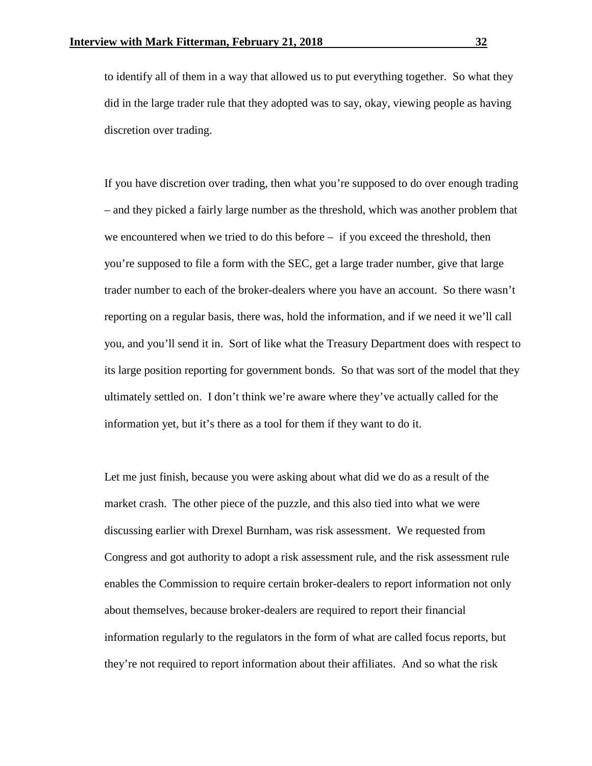to identify all of them in a way that allowed us to put everything together. So what they did in the large trader rule that they adopted was to say, okay, viewing people as having discretion over trading.

If you have discretion over trading, then what you're supposed to do over enough trading – and they picked a fairly large number as the threshold, which was another problem that we encountered when we tried to do this before – if you exceed the threshold, then you're supposed to file a form with the SEC, get a large trader number, give that large trader number to each of the broker-dealers where you have an account. So there wasn't reporting on a regular basis, there was, hold the information, and if we need it we'll call you, and you'll send it in. Sort of like what the Treasury Department does with respect to its large position reporting for government bonds. So that was sort of the model that they ultimately settled on. I don't think we're aware where they've actually called for the information yet, but it's there as a tool for them if they want to do it.

Let me just finish, because you were asking about what did we do as a result of the market crash. The other piece of the puzzle, and this also tied into what we were discussing earlier with Drexel Burnham, was risk assessment. We requested from Congress and got authority to adopt a risk assessment rule, and the risk assessment rule enables the Commission to require certain broker-dealers to report information not only about themselves, because broker-dealers are required to report their financial information regularly to the regulators in the form of what are called focus reports, but they're not required to report information about their affiliates. And so what the risk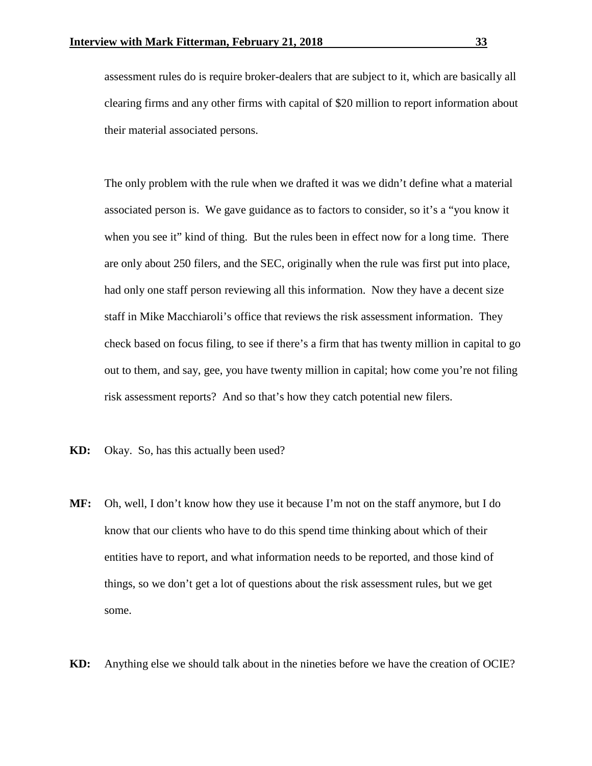assessment rules do is require broker-dealers that are subject to it, which are basically all clearing firms and any other firms with capital of \$20 million to report information about their material associated persons.

The only problem with the rule when we drafted it was we didn't define what a material associated person is. We gave guidance as to factors to consider, so it's a "you know it when you see it" kind of thing. But the rules been in effect now for a long time. There are only about 250 filers, and the SEC, originally when the rule was first put into place, had only one staff person reviewing all this information. Now they have a decent size staff in Mike Macchiaroli's office that reviews the risk assessment information. They check based on focus filing, to see if there's a firm that has twenty million in capital to go out to them, and say, gee, you have twenty million in capital; how come you're not filing risk assessment reports? And so that's how they catch potential new filers.

- **KD:** Okay. So, has this actually been used?
- **MF:** Oh, well, I don't know how they use it because I'm not on the staff anymore, but I do know that our clients who have to do this spend time thinking about which of their entities have to report, and what information needs to be reported, and those kind of things, so we don't get a lot of questions about the risk assessment rules, but we get some.
- **KD:** Anything else we should talk about in the nineties before we have the creation of OCIE?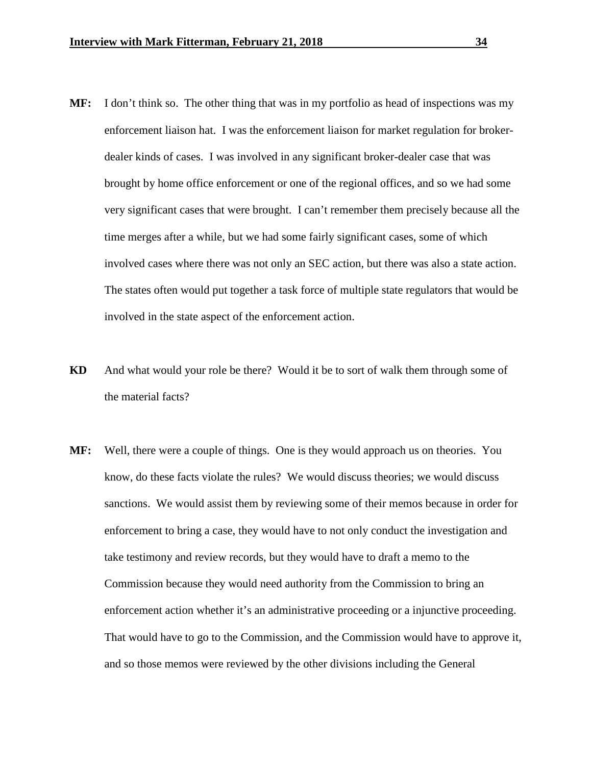- **MF:** I don't think so. The other thing that was in my portfolio as head of inspections was my enforcement liaison hat. I was the enforcement liaison for market regulation for brokerdealer kinds of cases. I was involved in any significant broker-dealer case that was brought by home office enforcement or one of the regional offices, and so we had some very significant cases that were brought. I can't remember them precisely because all the time merges after a while, but we had some fairly significant cases, some of which involved cases where there was not only an SEC action, but there was also a state action. The states often would put together a task force of multiple state regulators that would be involved in the state aspect of the enforcement action.
- **KD** And what would your role be there? Would it be to sort of walk them through some of the material facts?
- **MF:** Well, there were a couple of things. One is they would approach us on theories. You know, do these facts violate the rules? We would discuss theories; we would discuss sanctions. We would assist them by reviewing some of their memos because in order for enforcement to bring a case, they would have to not only conduct the investigation and take testimony and review records, but they would have to draft a memo to the Commission because they would need authority from the Commission to bring an enforcement action whether it's an administrative proceeding or a injunctive proceeding. That would have to go to the Commission, and the Commission would have to approve it, and so those memos were reviewed by the other divisions including the General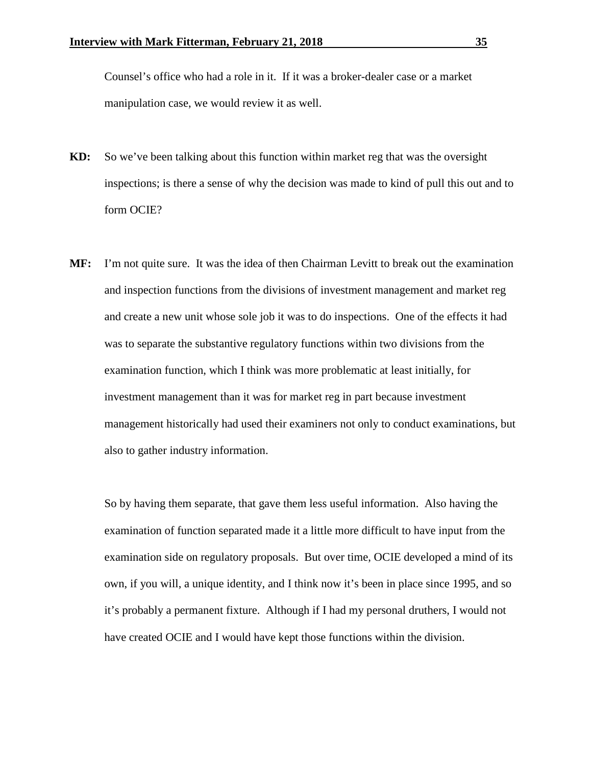Counsel's office who had a role in it. If it was a broker-dealer case or a market manipulation case, we would review it as well.

- **KD:** So we've been talking about this function within market reg that was the oversight inspections; is there a sense of why the decision was made to kind of pull this out and to form OCIE?
- **MF:** I'm not quite sure. It was the idea of then Chairman Levitt to break out the examination and inspection functions from the divisions of investment management and market reg and create a new unit whose sole job it was to do inspections. One of the effects it had was to separate the substantive regulatory functions within two divisions from the examination function, which I think was more problematic at least initially, for investment management than it was for market reg in part because investment management historically had used their examiners not only to conduct examinations, but also to gather industry information.

So by having them separate, that gave them less useful information. Also having the examination of function separated made it a little more difficult to have input from the examination side on regulatory proposals. But over time, OCIE developed a mind of its own, if you will, a unique identity, and I think now it's been in place since 1995, and so it's probably a permanent fixture. Although if I had my personal druthers, I would not have created OCIE and I would have kept those functions within the division.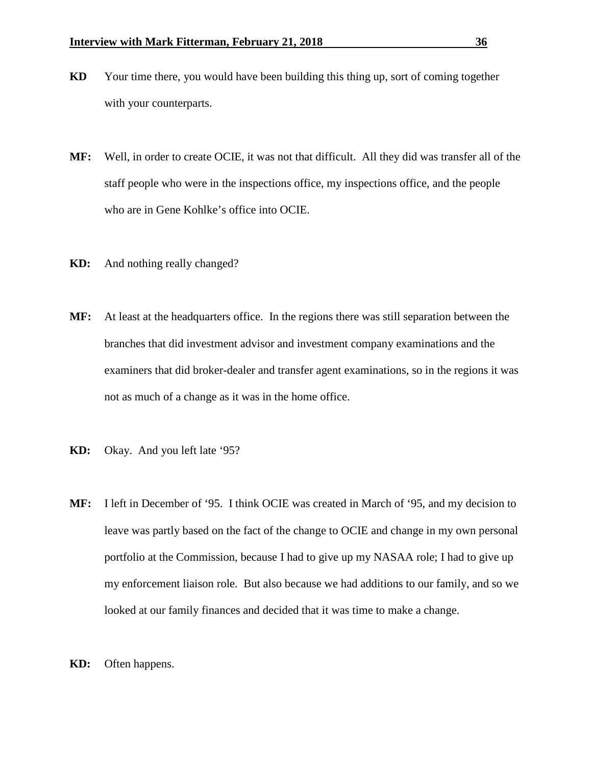- **KD** Your time there, you would have been building this thing up, sort of coming together with your counterparts.
- **MF:** Well, in order to create OCIE, it was not that difficult. All they did was transfer all of the staff people who were in the inspections office, my inspections office, and the people who are in Gene Kohlke's office into OCIE.
- **KD:** And nothing really changed?
- **MF:** At least at the headquarters office. In the regions there was still separation between the branches that did investment advisor and investment company examinations and the examiners that did broker-dealer and transfer agent examinations, so in the regions it was not as much of a change as it was in the home office.
- **KD:** Okay. And you left late '95?
- **MF:** I left in December of '95. I think OCIE was created in March of '95, and my decision to leave was partly based on the fact of the change to OCIE and change in my own personal portfolio at the Commission, because I had to give up my NASAA role; I had to give up my enforcement liaison role. But also because we had additions to our family, and so we looked at our family finances and decided that it was time to make a change.
- **KD:** Often happens.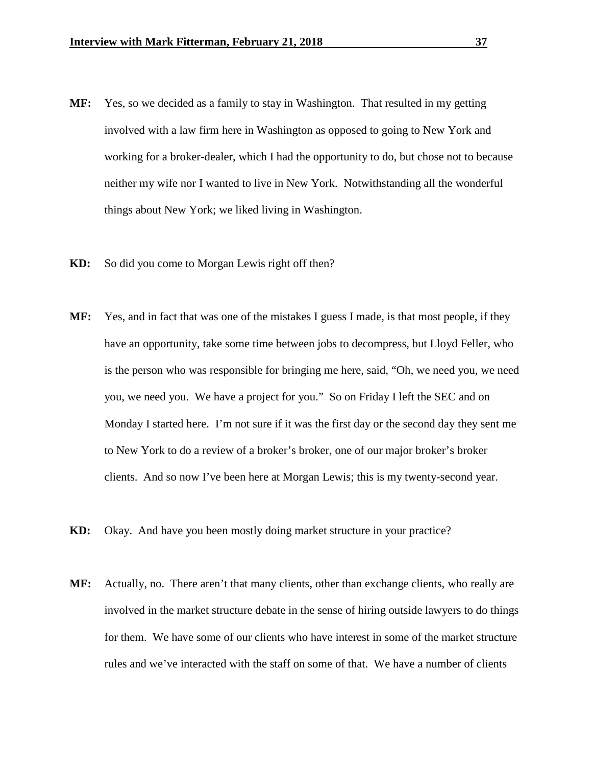- **MF:** Yes, so we decided as a family to stay in Washington. That resulted in my getting involved with a law firm here in Washington as opposed to going to New York and working for a broker-dealer, which I had the opportunity to do, but chose not to because neither my wife nor I wanted to live in New York. Notwithstanding all the wonderful things about New York; we liked living in Washington.
- **KD:** So did you come to Morgan Lewis right off then?
- **MF:** Yes, and in fact that was one of the mistakes I guess I made, is that most people, if they have an opportunity, take some time between jobs to decompress, but Lloyd Feller, who is the person who was responsible for bringing me here, said, "Oh, we need you, we need you, we need you. We have a project for you." So on Friday I left the SEC and on Monday I started here. I'm not sure if it was the first day or the second day they sent me to New York to do a review of a broker's broker, one of our major broker's broker clients. And so now I've been here at Morgan Lewis; this is my twenty-second year.
- **KD:** Okay. And have you been mostly doing market structure in your practice?
- **MF:** Actually, no. There aren't that many clients, other than exchange clients, who really are involved in the market structure debate in the sense of hiring outside lawyers to do things for them. We have some of our clients who have interest in some of the market structure rules and we've interacted with the staff on some of that. We have a number of clients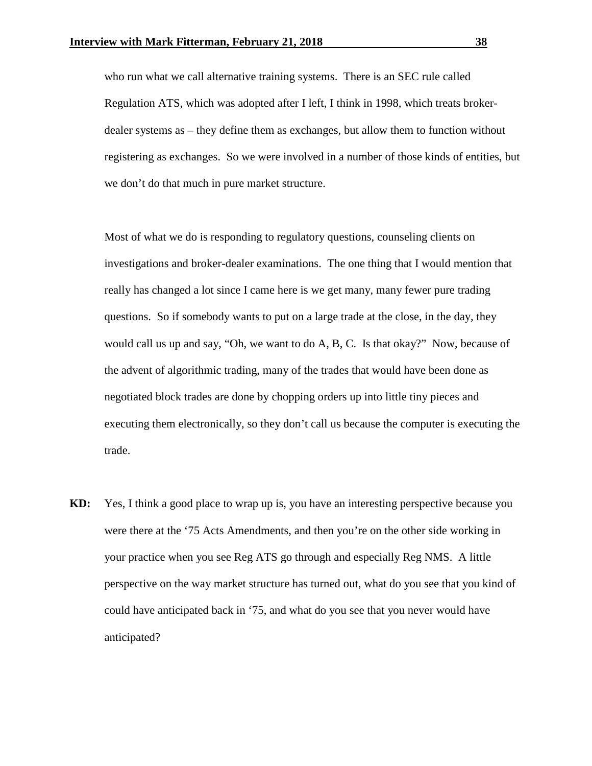who run what we call alternative training systems. There is an SEC rule called Regulation ATS, which was adopted after I left, I think in 1998, which treats brokerdealer systems as – they define them as exchanges, but allow them to function without registering as exchanges. So we were involved in a number of those kinds of entities, but we don't do that much in pure market structure.

Most of what we do is responding to regulatory questions, counseling clients on investigations and broker-dealer examinations. The one thing that I would mention that really has changed a lot since I came here is we get many, many fewer pure trading questions. So if somebody wants to put on a large trade at the close, in the day, they would call us up and say, "Oh, we want to do A, B, C. Is that okay?" Now, because of the advent of algorithmic trading, many of the trades that would have been done as negotiated block trades are done by chopping orders up into little tiny pieces and executing them electronically, so they don't call us because the computer is executing the trade.

**KD:** Yes, I think a good place to wrap up is, you have an interesting perspective because you were there at the '75 Acts Amendments, and then you're on the other side working in your practice when you see Reg ATS go through and especially Reg NMS. A little perspective on the way market structure has turned out, what do you see that you kind of could have anticipated back in '75, and what do you see that you never would have anticipated?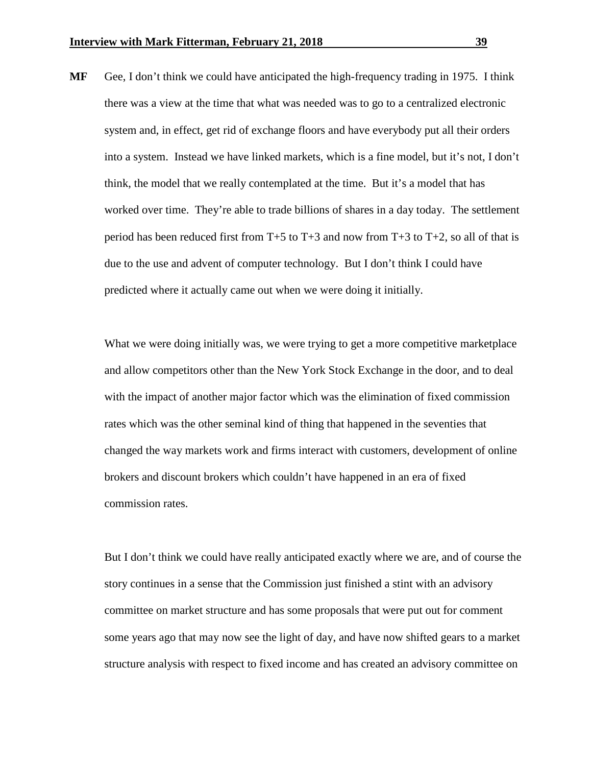**MF** Gee, I don't think we could have anticipated the high-frequency trading in 1975. I think there was a view at the time that what was needed was to go to a centralized electronic system and, in effect, get rid of exchange floors and have everybody put all their orders into a system. Instead we have linked markets, which is a fine model, but it's not, I don't think, the model that we really contemplated at the time. But it's a model that has worked over time. They're able to trade billions of shares in a day today. The settlement period has been reduced first from  $T+5$  to  $T+3$  and now from  $T+3$  to  $T+2$ , so all of that is due to the use and advent of computer technology. But I don't think I could have predicted where it actually came out when we were doing it initially.

What we were doing initially was, we were trying to get a more competitive marketplace and allow competitors other than the New York Stock Exchange in the door, and to deal with the impact of another major factor which was the elimination of fixed commission rates which was the other seminal kind of thing that happened in the seventies that changed the way markets work and firms interact with customers, development of online brokers and discount brokers which couldn't have happened in an era of fixed commission rates.

But I don't think we could have really anticipated exactly where we are, and of course the story continues in a sense that the Commission just finished a stint with an advisory committee on market structure and has some proposals that were put out for comment some years ago that may now see the light of day, and have now shifted gears to a market structure analysis with respect to fixed income and has created an advisory committee on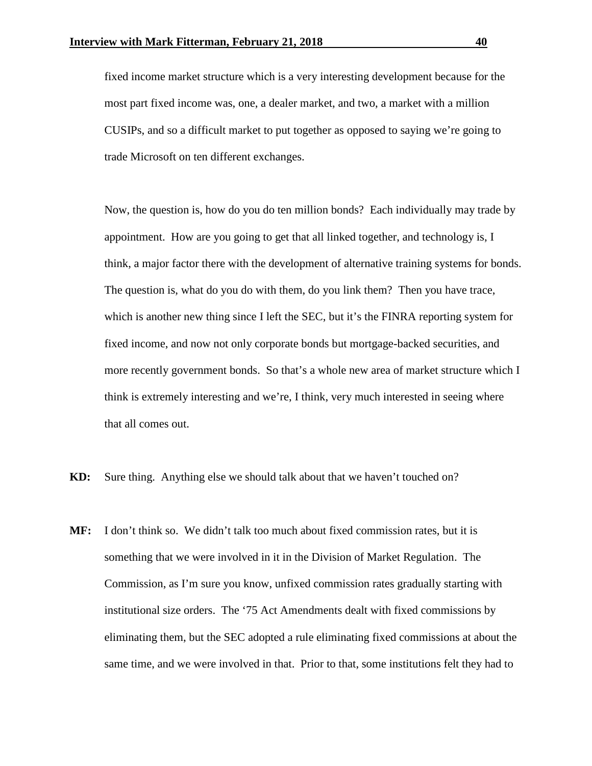fixed income market structure which is a very interesting development because for the most part fixed income was, one, a dealer market, and two, a market with a million CUSIPs, and so a difficult market to put together as opposed to saying we're going to trade Microsoft on ten different exchanges.

Now, the question is, how do you do ten million bonds? Each individually may trade by appointment. How are you going to get that all linked together, and technology is, I think, a major factor there with the development of alternative training systems for bonds. The question is, what do you do with them, do you link them? Then you have trace, which is another new thing since I left the SEC, but it's the FINRA reporting system for fixed income, and now not only corporate bonds but mortgage-backed securities, and more recently government bonds. So that's a whole new area of market structure which I think is extremely interesting and we're, I think, very much interested in seeing where that all comes out.

- **KD:** Sure thing. Anything else we should talk about that we haven't touched on?
- **MF:** I don't think so. We didn't talk too much about fixed commission rates, but it is something that we were involved in it in the Division of Market Regulation. The Commission, as I'm sure you know, unfixed commission rates gradually starting with institutional size orders. The '75 Act Amendments dealt with fixed commissions by eliminating them, but the SEC adopted a rule eliminating fixed commissions at about the same time, and we were involved in that. Prior to that, some institutions felt they had to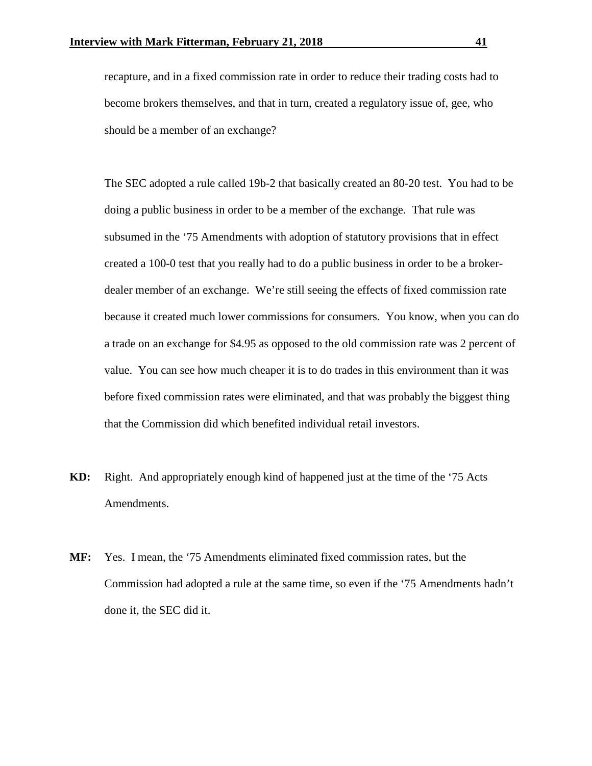recapture, and in a fixed commission rate in order to reduce their trading costs had to become brokers themselves, and that in turn, created a regulatory issue of, gee, who should be a member of an exchange?

The SEC adopted a rule called 19b-2 that basically created an 80-20 test. You had to be doing a public business in order to be a member of the exchange. That rule was subsumed in the '75 Amendments with adoption of statutory provisions that in effect created a 100-0 test that you really had to do a public business in order to be a brokerdealer member of an exchange. We're still seeing the effects of fixed commission rate because it created much lower commissions for consumers. You know, when you can do a trade on an exchange for \$4.95 as opposed to the old commission rate was 2 percent of value. You can see how much cheaper it is to do trades in this environment than it was before fixed commission rates were eliminated, and that was probably the biggest thing that the Commission did which benefited individual retail investors.

- **KD:** Right. And appropriately enough kind of happened just at the time of the '75 Acts Amendments.
- **MF:** Yes. I mean, the '75 Amendments eliminated fixed commission rates, but the Commission had adopted a rule at the same time, so even if the '75 Amendments hadn't done it, the SEC did it.